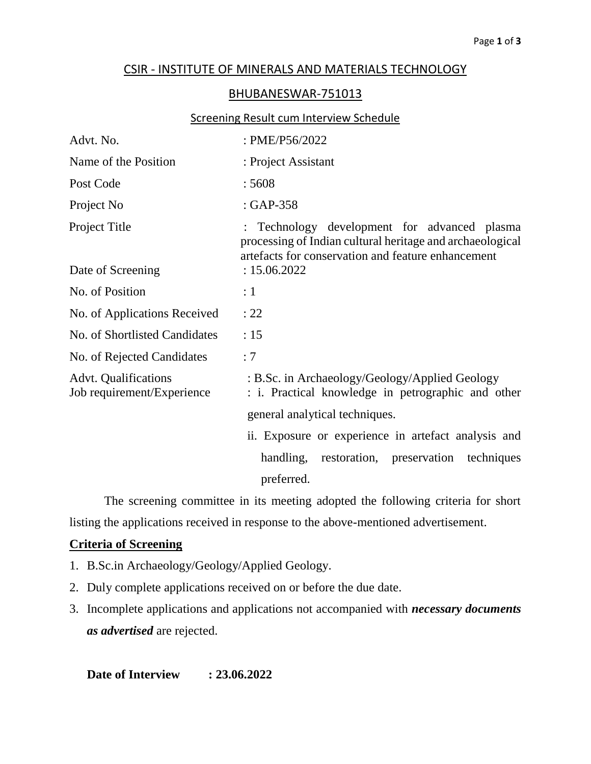## CSIR - INSTITUTE OF MINERALS AND MATERIALS TECHNOLOGY

## BHUBANESWAR-751013

## Screening Result cum Interview Schedule

| : PME/P56/2022                                                                                                                                                  |
|-----------------------------------------------------------------------------------------------------------------------------------------------------------------|
| : Project Assistant                                                                                                                                             |
| :5608                                                                                                                                                           |
| $: GAP-358$                                                                                                                                                     |
| : Technology development for advanced plasma<br>processing of Indian cultural heritage and archaeological<br>artefacts for conservation and feature enhancement |
| : 15.06.2022                                                                                                                                                    |
| : 1                                                                                                                                                             |
| : 22                                                                                                                                                            |
| :15                                                                                                                                                             |
| :7                                                                                                                                                              |
| : B.Sc. in Archaeology/Geology/Applied Geology<br>: i. Practical knowledge in petrographic and other                                                            |
| general analytical techniques.                                                                                                                                  |
| ii. Exposure or experience in artefact analysis and                                                                                                             |
| handling, restoration, preservation<br>techniques<br>preferred.                                                                                                 |
|                                                                                                                                                                 |

The screening committee in its meeting adopted the following criteria for short listing the applications received in response to the above-mentioned advertisement.

## **Criteria of Screening**

- 1. B.Sc.in Archaeology/Geology/Applied Geology.
- 2. Duly complete applications received on or before the due date.
- 3. Incomplete applications and applications not accompanied with *necessary documents as advertised* are rejected.

**Date of Interview : 23.06.2022**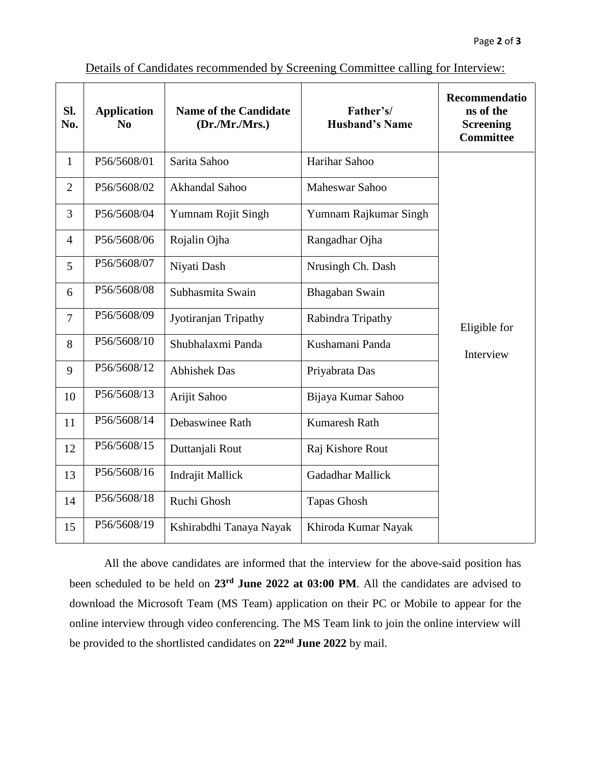| SI.<br>No.     | <b>Application</b><br>No | <b>Name of the Candidate</b><br>(Dr./Mr./Mrs.) | Father's/<br><b>Husband's Name</b> | Recommendatio<br>ns of the<br><b>Screening</b><br><b>Committee</b> |
|----------------|--------------------------|------------------------------------------------|------------------------------------|--------------------------------------------------------------------|
| $\mathbf{1}$   | P56/5608/01              | Sarita Sahoo                                   | Harihar Sahoo                      |                                                                    |
| $\overline{2}$ | P56/5608/02              | Akhandal Sahoo                                 | Maheswar Sahoo                     |                                                                    |
| 3              | P56/5608/04              | Yumnam Rojit Singh                             | Yumnam Rajkumar Singh              |                                                                    |
| 4              | P56/5608/06              | Rojalin Ojha                                   | Rangadhar Ojha                     |                                                                    |
| 5              | P56/5608/07              | Niyati Dash                                    | Nrusingh Ch. Dash                  |                                                                    |
| 6              | P56/5608/08              | Subhasmita Swain                               | Bhagaban Swain                     |                                                                    |
| $\overline{7}$ | P56/5608/09              | Jyotiranjan Tripathy                           | Rabindra Tripathy                  | Eligible for                                                       |
| 8              | P56/5608/10              | Shubhalaxmi Panda                              | Kushamani Panda                    | Interview                                                          |
| 9              | P56/5608/12              | <b>Abhishek Das</b>                            | Priyabrata Das                     |                                                                    |
| 10             | P56/5608/13              | Arijit Sahoo                                   | Bijaya Kumar Sahoo                 |                                                                    |
| 11             | P56/5608/14              | Debaswinee Rath                                | Kumaresh Rath                      |                                                                    |
| 12             | P56/5608/15              | Duttanjali Rout                                | Raj Kishore Rout                   |                                                                    |
| 13             | P56/5608/16              | Indrajit Mallick                               | Gadadhar Mallick                   |                                                                    |
| 14             | P56/5608/18              | Ruchi Ghosh                                    | <b>Tapas Ghosh</b>                 |                                                                    |
| 15             | P56/5608/19              | Kshirabdhi Tanaya Nayak                        | Khiroda Kumar Nayak                |                                                                    |

Details of Candidates recommended by Screening Committee calling for Interview:

All the above candidates are informed that the interview for the above-said position has been scheduled to be held on **23rd June 2022 at 03:00 PM**. All the candidates are advised to download the Microsoft Team (MS Team) application on their PC or Mobile to appear for the online interview through video conferencing. The MS Team link to join the online interview will be provided to the shortlisted candidates on 22<sup>nd</sup> June 2022 by mail.